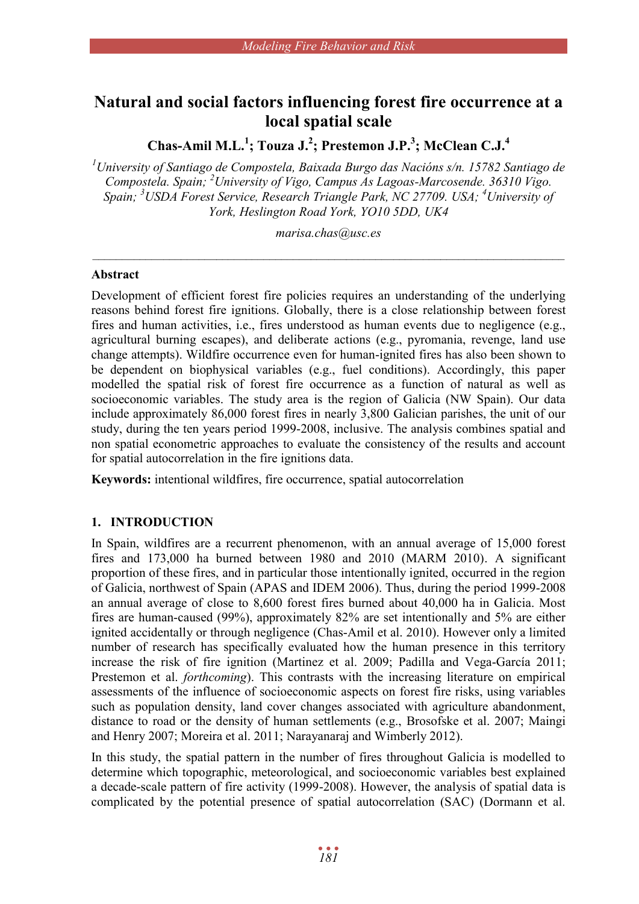# **Natural and social factors influencing forest fire occurrence at a local spatial scale**

**Chas-Amil M.L.<sup>1</sup> ; Touza J.<sup>2</sup> ; Prestemon J.P.<sup>3</sup> ; McClean C.J.<sup>4</sup>**

*<sup>1</sup>University of Santiago de Compostela, Baixada Burgo das Nacións s/n. 15782 Santiago de Compostela. Spain; <sup>2</sup>University of Vigo, Campus As Lagoas-Marcosende. 36310 Vigo. Spain; <sup>3</sup>USDA Forest Service, Research Triangle Park, NC 27709. USA; <sup>4</sup>University of York, Heslington Road York, YO10 5DD, UK4*

*marisa.chas@usc.es*  $\mathcal{L}_\mathcal{L} = \{ \mathcal{L}_\mathcal{L} = \{ \mathcal{L}_\mathcal{L} = \{ \mathcal{L}_\mathcal{L} = \{ \mathcal{L}_\mathcal{L} = \{ \mathcal{L}_\mathcal{L} = \{ \mathcal{L}_\mathcal{L} = \{ \mathcal{L}_\mathcal{L} = \{ \mathcal{L}_\mathcal{L} = \{ \mathcal{L}_\mathcal{L} = \{ \mathcal{L}_\mathcal{L} = \{ \mathcal{L}_\mathcal{L} = \{ \mathcal{L}_\mathcal{L} = \{ \mathcal{L}_\mathcal{L} = \{ \mathcal{L}_\mathcal{$ 

### **Abstract**

Development of efficient forest fire policies requires an understanding of the underlying reasons behind forest fire ignitions. Globally, there is a close relationship between forest fires and human activities, i.e., fires understood as human events due to negligence (e.g., agricultural burning escapes), and deliberate actions (e.g., pyromania, revenge, land use change attempts). Wildfire occurrence even for human-ignited fires has also been shown to be dependent on biophysical variables (e.g., fuel conditions). Accordingly, this paper modelled the spatial risk of forest fire occurrence as a function of natural as well as socioeconomic variables. The study area is the region of Galicia (NW Spain). Our data include approximately 86,000 forest fires in nearly 3,800 Galician parishes, the unit of our study, during the ten years period 1999-2008, inclusive. The analysis combines spatial and non spatial econometric approaches to evaluate the consistency of the results and account for spatial autocorrelation in the fire ignitions data.

**Keywords:** intentional wildfires, fire occurrence, spatial autocorrelation

## **1. INTRODUCTION**

In Spain, wildfires are a recurrent phenomenon, with an annual average of 15,000 forest fires and 173,000 ha burned between 1980 and 2010 (MARM 2010). A significant proportion of these fires, and in particular those intentionally ignited, occurred in the region of Galicia, northwest of Spain (APAS and IDEM 2006). Thus, during the period 1999-2008 an annual average of close to 8,600 forest fires burned about 40,000 ha in Galicia. Most fires are human-caused (99%), approximately 82% are set intentionally and 5% are either ignited accidentally or through negligence (Chas-Amil et al. 2010). However only a limited number of research has specifically evaluated how the human presence in this territory increase the risk of fire ignition (Martinez et al. 2009; Padilla and Vega-García 2011; Prestemon et al. *forthcoming*). This contrasts with the increasing literature on empirical assessments of the influence of socioeconomic aspects on forest fire risks, using variables such as population density, land cover changes associated with agriculture abandonment, distance to road or the density of human settlements (e.g., Brosofske et al. 2007; Maingi and Henry 2007; Moreira et al. 2011; Narayanaraj and Wimberly 2012).

In this study, the spatial pattern in the number of fires throughout Galicia is modelled to determine which topographic, meteorological, and socioeconomic variables best explained a decade-scale pattern of fire activity (1999-2008). However, the analysis of spatial data is complicated by the potential presence of spatial autocorrelation (SAC) (Dormann et al.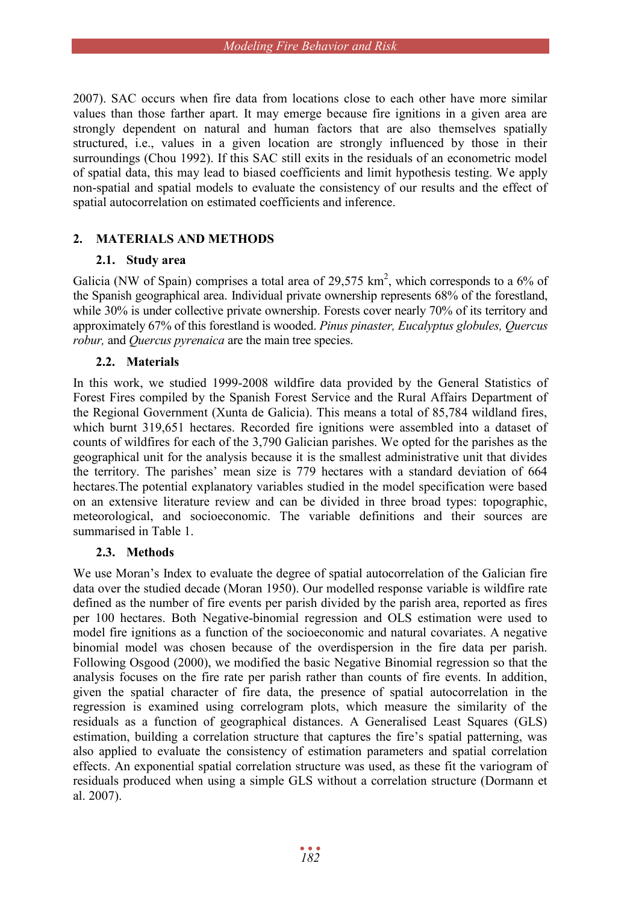2007). SAC occurs when fire data from locations close to each other have more similar values than those farther apart. It may emerge because fire ignitions in a given area are strongly dependent on natural and human factors that are also themselves spatially structured, i.e., values in a given location are strongly influenced by those in their surroundings (Chou 1992). If this SAC still exits in the residuals of an econometric model of spatial data, this may lead to biased coefficients and limit hypothesis testing. We apply non-spatial and spatial models to evaluate the consistency of our results and the effect of spatial autocorrelation on estimated coefficients and inference.

## **2. MATERIALS AND METHODS**

## **2.1. Study area**

Galicia (NW of Spain) comprises a total area of 29,575  $km^2$ , which corresponds to a 6% of the Spanish geographical area. Individual private ownership represents 68% of the forestland, while 30% is under collective private ownership. Forests cover nearly 70% of its territory and approximately 67% of this forestland is wooded. *Pinus pinaster, Eucalyptus globules, Quercus robur,* and *Quercus pyrenaica* are the main tree species.

## **2.2. Materials**

In this work, we studied 1999-2008 wildfire data provided by the General Statistics of Forest Fires compiled by the Spanish Forest Service and the Rural Affairs Department of the Regional Government (Xunta de Galicia). This means a total of 85,784 wildland fires, which burnt 319,651 hectares. Recorded fire ignitions were assembled into a dataset of counts of wildfires for each of the 3,790 Galician parishes. We opted for the parishes as the geographical unit for the analysis because it is the smallest administrative unit that divides the territory. The parishes' mean size is 779 hectares with a standard deviation of 664 hectares.The potential explanatory variables studied in the model specification were based on an extensive literature review and can be divided in three broad types: topographic, meteorological, and socioeconomic. The variable definitions and their sources are summarised in Table 1.

## **2.3. Methods**

We use Moran's Index to evaluate the degree of spatial autocorrelation of the Galician fire data over the studied decade (Moran 1950). Our modelled response variable is wildfire rate defined as the number of fire events per parish divided by the parish area, reported as fires per 100 hectares. Both Negative-binomial regression and OLS estimation were used to model fire ignitions as a function of the socioeconomic and natural covariates. A negative binomial model was chosen because of the overdispersion in the fire data per parish. Following Osgood (2000), we modified the basic Negative Binomial regression so that the analysis focuses on the fire rate per parish rather than counts of fire events. In addition, given the spatial character of fire data, the presence of spatial autocorrelation in the regression is examined using correlogram plots, which measure the similarity of the residuals as a function of geographical distances. A Generalised Least Squares (GLS) estimation, building a correlation structure that captures the fire's spatial patterning, was also applied to evaluate the consistency of estimation parameters and spatial correlation effects. An exponential spatial correlation structure was used, as these fit the variogram of residuals produced when using a simple GLS without a correlation structure (Dormann et al. 2007).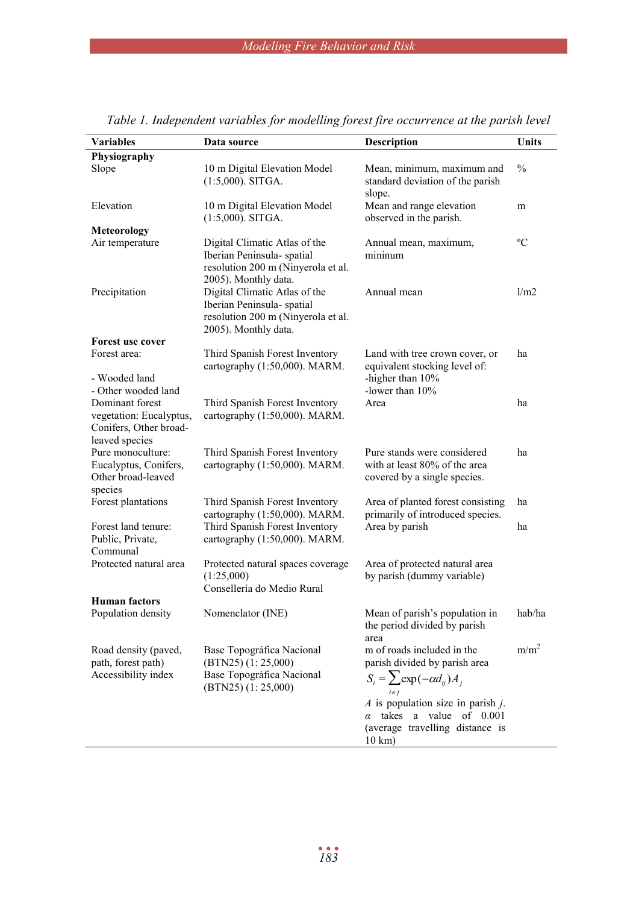| <b>Variables</b>                                                  | Data source                                                                                                               | Description                                                                                                                                                  | <b>Units</b>     |
|-------------------------------------------------------------------|---------------------------------------------------------------------------------------------------------------------------|--------------------------------------------------------------------------------------------------------------------------------------------------------------|------------------|
| Physiography                                                      |                                                                                                                           |                                                                                                                                                              |                  |
| Slope                                                             | 10 m Digital Elevation Model<br>$(1:5,000)$ . SITGA.                                                                      | Mean, minimum, maximum and<br>standard deviation of the parish<br>slope.                                                                                     | $\frac{0}{0}$    |
| Elevation                                                         | 10 m Digital Elevation Model<br>$(1:5,000)$ . SITGA.                                                                      | Mean and range elevation<br>observed in the parish.                                                                                                          |                  |
| <b>Meteorology</b>                                                |                                                                                                                           |                                                                                                                                                              |                  |
| Air temperature                                                   | Digital Climatic Atlas of the<br>Iberian Peninsula- spatial<br>resolution 200 m (Ninyerola et al.<br>2005). Monthly data. | Annual mean, maximum,<br>mininum                                                                                                                             | $\rm ^{o}C$      |
| Precipitation                                                     | Digital Climatic Atlas of the<br>Iberian Peninsula- spatial<br>resolution 200 m (Ninyerola et al.<br>2005). Monthly data. | Annual mean                                                                                                                                                  | 1/m2             |
| Forest use cover                                                  |                                                                                                                           |                                                                                                                                                              |                  |
| Forest area:<br>- Wooded land                                     | Third Spanish Forest Inventory<br>cartography (1:50,000). MARM.                                                           | Land with tree crown cover, or<br>equivalent stocking level of:<br>-higher than 10%                                                                          | ha               |
| - Other wooded land                                               |                                                                                                                           | -lower than 10%                                                                                                                                              |                  |
| Dominant forest                                                   | Third Spanish Forest Inventory                                                                                            | Area                                                                                                                                                         | ha               |
| vegetation: Eucalyptus,<br>Conifers, Other broad-                 | cartography (1:50,000). MARM.                                                                                             |                                                                                                                                                              |                  |
| leaved species<br>Pure monoculture:                               | Third Spanish Forest Inventory                                                                                            | Pure stands were considered                                                                                                                                  | ha               |
| Eucalyptus, Conifers,<br>Other broad-leaved                       | cartography (1:50,000). MARM.                                                                                             | with at least 80% of the area<br>covered by a single species.                                                                                                |                  |
| species<br>Forest plantations                                     | Third Spanish Forest Inventory<br>cartography (1:50,000). MARM.                                                           | Area of planted forest consisting<br>primarily of introduced species.                                                                                        | ha               |
| Forest land tenure:<br>Public, Private,<br>Communal               | Third Spanish Forest Inventory<br>cartography (1:50,000). MARM.                                                           | Area by parish                                                                                                                                               | ha               |
| Protected natural area                                            | Protected natural spaces coverage<br>(1:25,000)<br>Consellería do Medio Rural                                             | Area of protected natural area<br>by parish (dummy variable)                                                                                                 |                  |
| <b>Human</b> factors                                              |                                                                                                                           |                                                                                                                                                              |                  |
| Population density                                                | Nomenclator (INE)                                                                                                         | Mean of parish's population in<br>the period divided by parish<br>area                                                                                       | hab/ha           |
| Road density (paved,<br>path, forest path)<br>Accessibility index | Base Topográfica Nacional<br>$(BTN25)$ $(1: 25,000)$<br>Base Topográfica Nacional<br>$(BTN25)$ $(1:25,000)$               | m of roads included in the<br>parish divided by parish area<br>$S_i = \sum \exp(-\alpha d_{ij})A_i$                                                          | m/m <sup>2</sup> |
|                                                                   |                                                                                                                           | $\Lambda$ is population size in parish $\dot{\Lambda}$ .<br>takes<br>a value<br>of 0.001<br>$\alpha$<br>(average travelling distance is<br>$10 \text{ km}$ ) |                  |

*Table 1. Independent variables for modelling forest fire occurrence at the parish level*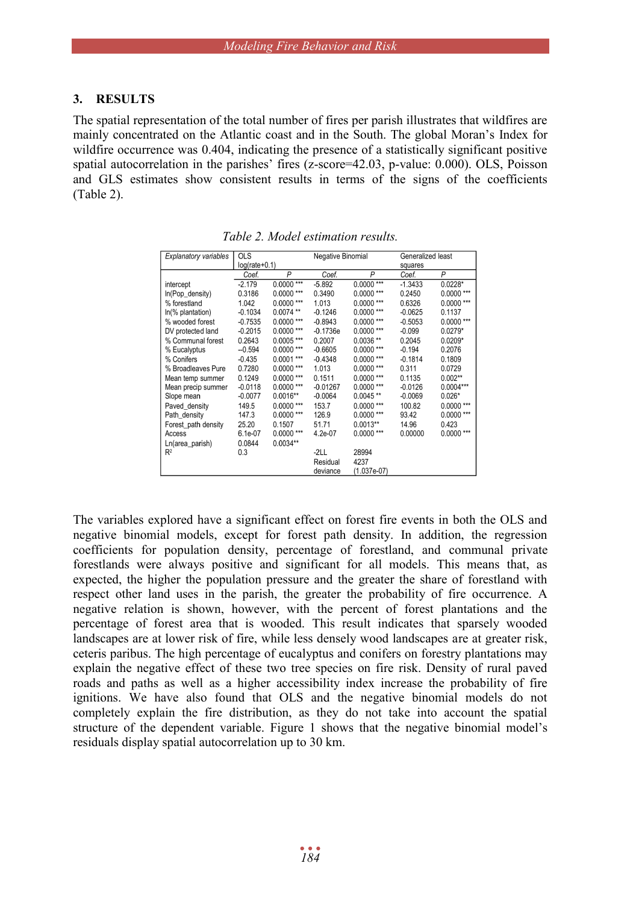#### **3. RESULTS**

The spatial representation of the total number of fires per parish illustrates that wildfires are mainly concentrated on the Atlantic coast and in the South. The global Moran's Index for wildfire occurrence was 0.404, indicating the presence of a statistically significant positive spatial autocorrelation in the parishes' fires (z-score=42.03, p-value: 0.000). OLS, Poisson and GLS estimates show consistent results in terms of the signs of the coefficients (Table 2).

| <b>Explanatory variables</b> | <b>OLS</b>      |              | Negative Binomial |               | Generalized least |              |
|------------------------------|-----------------|--------------|-------------------|---------------|-------------------|--------------|
|                              | $log(rate+0.1)$ |              |                   |               | squares           |              |
|                              | Coef.           | P            | Coef.             | P             | Coef.             | P            |
| intercept                    | $-2.179$        | $0.0000$ *** | $-5.892$          | $0.0000$ ***  | $-1.3433$         | $0.0228*$    |
| In(Pop_density)              | 0.3186          | $0.0000$ *** | 0.3490            | $0.0000$ ***  | 0.2450            | $0.0000$ *** |
| % forestland                 | 1.042           | $0.0000$ *** | 1.013             | $0.0000$ ***  | 0.6326            | $0.0000***$  |
| $ln(\%$ plantation)          | $-0.1034$       | $0.0074$ **  | $-0.1246$         | $0.0000$ ***  | $-0.0625$         | 0.1137       |
| % wooded forest              | $-0.7535$       | $0.0000$ *** | $-0.8943$         | $0.0000$ ***  | $-0.5053$         | $0.0000$ *** |
| DV protected land            | $-0.2015$       | $0.0000***$  | $-0.1736e$        | $0.0000$ ***  | $-0.099$          | $0.0279*$    |
| % Communal forest            | 0.2643          | $0.0005$ *** | 0.2007            | $0.0036**$    | 0.2045            | $0.0209*$    |
| % Eucalyptus                 | $-0.594$        | $0.0000$ *** | $-0.6605$         | $0.0000$ ***  | $-0.194$          | 0.2076       |
| % Conifers                   | $-0.435$        | $0.0001$ *** | $-0.4348$         | $0.0000$ ***  | $-0.1814$         | 0.1809       |
| % Broadleaves Pure           | 0.7280          | $0.0000$ *** | 1.013             | $0.0000$ ***  | 0.311             | 0.0729       |
| Mean temp summer             | 0.1249          | $0.0000$ *** | 0.1511            | $0.0000$ ***  | 0.1135            | $0.002**$    |
| Mean precip summer           | $-0.0118$       | $0.0000***$  | $-0.01267$        | $0.0000$ ***  | $-0.0126$         | $0.0004***$  |
| Slope mean                   | $-0.0077$       | $0.0016**$   | $-0.0064$         | $0.0045**$    | -0.0069           | $0.026*$     |
| Paved density                | 149.5           | $0.0000$ *** | 153.7             | $0.0000$ ***  | 100.82            | $0.0000$ *** |
| Path_density                 | 147.3           | $0.0000***$  | 126.9             | $0.0000***$   | 93.42             | $0.0000$ *** |
| Forest path density          | 25.20           | 0.1507       | 51.71             | $0.0013**$    | 14.96             | 0.423        |
| Access                       | 6.1e-07         | $0.0000$ *** | 4.2e-07           | $0.0000$ ***  | 0.00000           | $0.0000$ *** |
| Ln(area_parish)              | 0.0844          | $0.0034**$   |                   |               |                   |              |
| $R^2$                        | 0.3             |              | $-2LL$            | 28994         |                   |              |
|                              |                 |              | Residual          | 4237          |                   |              |
|                              |                 |              | deviance          | $(1.037e-07)$ |                   |              |

*Table 2. Model estimation results.*

The variables explored have a significant effect on forest fire events in both the OLS and negative binomial models, except for forest path density. In addition, the regression coefficients for population density, percentage of forestland, and communal private forestlands were always positive and significant for all models. This means that, as expected, the higher the population pressure and the greater the share of forestland with respect other land uses in the parish, the greater the probability of fire occurrence. A negative relation is shown, however, with the percent of forest plantations and the percentage of forest area that is wooded. This result indicates that sparsely wooded landscapes are at lower risk of fire, while less densely wood landscapes are at greater risk, ceteris paribus. The high percentage of eucalyptus and conifers on forestry plantations may explain the negative effect of these two tree species on fire risk. Density of rural paved roads and paths as well as a higher accessibility index increase the probability of fire ignitions. We have also found that OLS and the negative binomial models do not completely explain the fire distribution, as they do not take into account the spatial structure of the dependent variable. Figure 1 shows that the negative binomial model's residuals display spatial autocorrelation up to 30 km.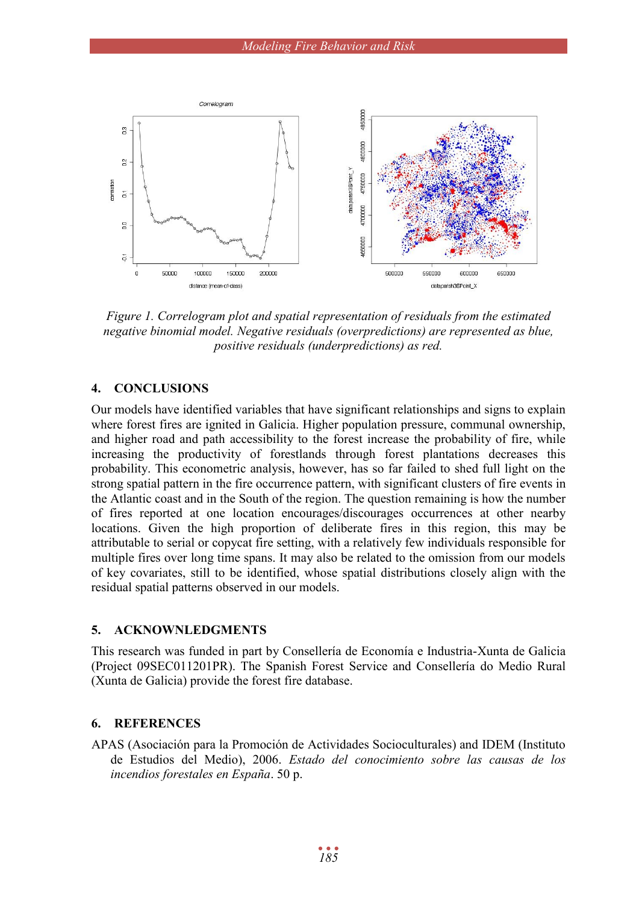

*Figure 1. Correlogram plot and spatial representation of residuals from the estimated negative binomial model. Negative residuals (overpredictions) are represented as blue, positive residuals (underpredictions) as red.*

### **4. CONCLUSIONS**

Our models have identified variables that have significant relationships and signs to explain where forest fires are ignited in Galicia. Higher population pressure, communal ownership, and higher road and path accessibility to the forest increase the probability of fire, while increasing the productivity of forestlands through forest plantations decreases this probability. This econometric analysis, however, has so far failed to shed full light on the strong spatial pattern in the fire occurrence pattern, with significant clusters of fire events in the Atlantic coast and in the South of the region. The question remaining is how the number of fires reported at one location encourages/discourages occurrences at other nearby locations. Given the high proportion of deliberate fires in this region, this may be attributable to serial or copycat fire setting, with a relatively few individuals responsible for multiple fires over long time spans. It may also be related to the omission from our models of key covariates, still to be identified, whose spatial distributions closely align with the residual spatial patterns observed in our models.

#### **5. ACKNOWNLEDGMENTS**

This research was funded in part by Consellería de Economía e Industria-Xunta de Galicia (Project 09SEC011201PR). The Spanish Forest Service and Consellería do Medio Rural (Xunta de Galicia) provide the forest fire database.

#### **6. REFERENCES**

APAS (Asociación para la Promoción de Actividades Socioculturales) and IDEM (Instituto de Estudios del Medio), 2006. *Estado del conocimiento sobre las causas de los incendios forestales en España*. 50 p.